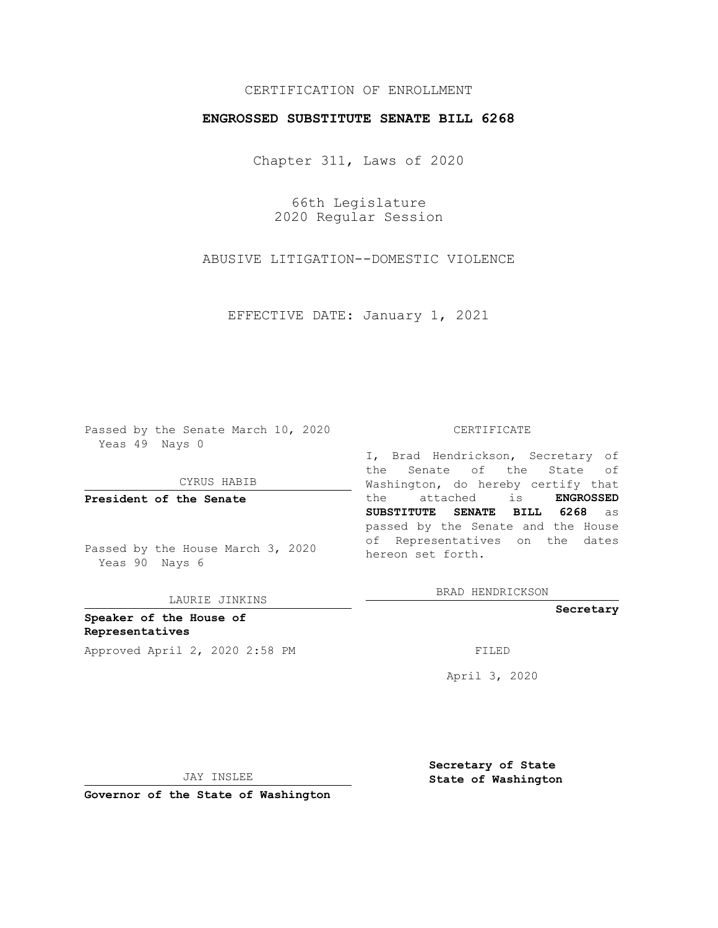## CERTIFICATION OF ENROLLMENT

## **ENGROSSED SUBSTITUTE SENATE BILL 6268**

Chapter 311, Laws of 2020

66th Legislature 2020 Regular Session

ABUSIVE LITIGATION--DOMESTIC VIOLENCE

EFFECTIVE DATE: January 1, 2021

Passed by the Senate March 10, 2020 Yeas 49 Nays 0

CYRUS HABIB

**President of the Senate**

Passed by the House March 3, 2020 Yeas 90 Nays 6

LAURIE JINKINS

**Speaker of the House of Representatives** Approved April 2, 2020 2:58 PM

#### CERTIFICATE

I, Brad Hendrickson, Secretary of the Senate of the State of Washington, do hereby certify that the attached is **ENGROSSED SUBSTITUTE SENATE BILL 6268** as passed by the Senate and the House of Representatives on the dates hereon set forth.

BRAD HENDRICKSON

**Secretary**

April 3, 2020

JAY INSLEE

**Secretary of State State of Washington**

**Governor of the State of Washington**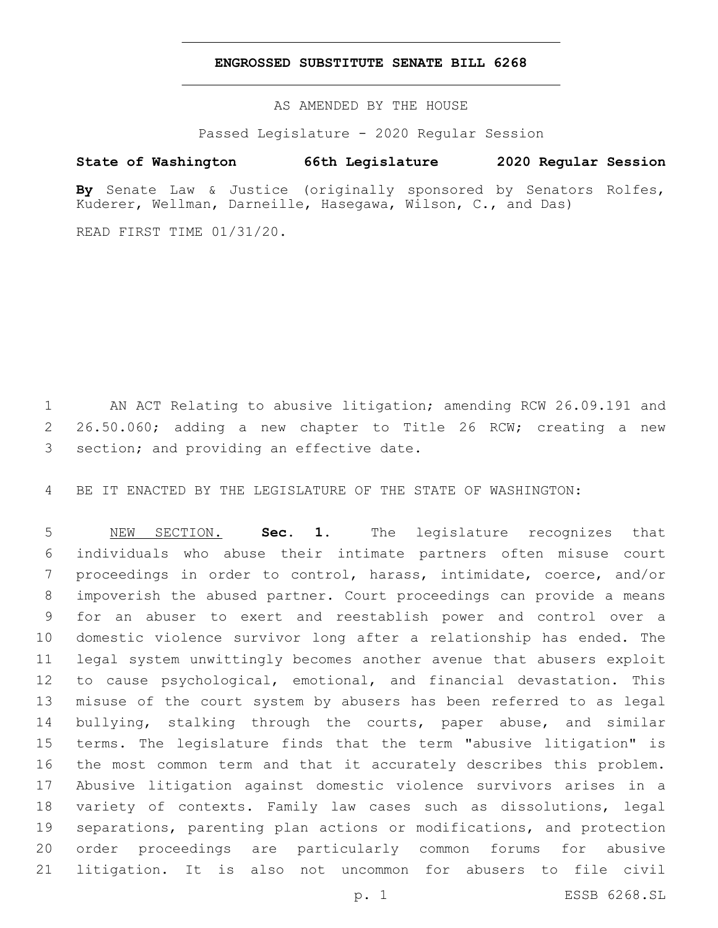### **ENGROSSED SUBSTITUTE SENATE BILL 6268**

AS AMENDED BY THE HOUSE

Passed Legislature - 2020 Regular Session

# **State of Washington 66th Legislature 2020 Regular Session**

**By** Senate Law & Justice (originally sponsored by Senators Rolfes, Kuderer, Wellman, Darneille, Hasegawa, Wilson, C., and Das)

READ FIRST TIME 01/31/20.

 AN ACT Relating to abusive litigation; amending RCW 26.09.191 and 26.50.060; adding a new chapter to Title 26 RCW; creating a new 3 section; and providing an effective date.

BE IT ENACTED BY THE LEGISLATURE OF THE STATE OF WASHINGTON:

 NEW SECTION. **Sec. 1.** The legislature recognizes that individuals who abuse their intimate partners often misuse court proceedings in order to control, harass, intimidate, coerce, and/or impoverish the abused partner. Court proceedings can provide a means for an abuser to exert and reestablish power and control over a domestic violence survivor long after a relationship has ended. The legal system unwittingly becomes another avenue that abusers exploit to cause psychological, emotional, and financial devastation. This misuse of the court system by abusers has been referred to as legal 14 bullying, stalking through the courts, paper abuse, and similar terms. The legislature finds that the term "abusive litigation" is the most common term and that it accurately describes this problem. Abusive litigation against domestic violence survivors arises in a variety of contexts. Family law cases such as dissolutions, legal separations, parenting plan actions or modifications, and protection order proceedings are particularly common forums for abusive litigation. It is also not uncommon for abusers to file civil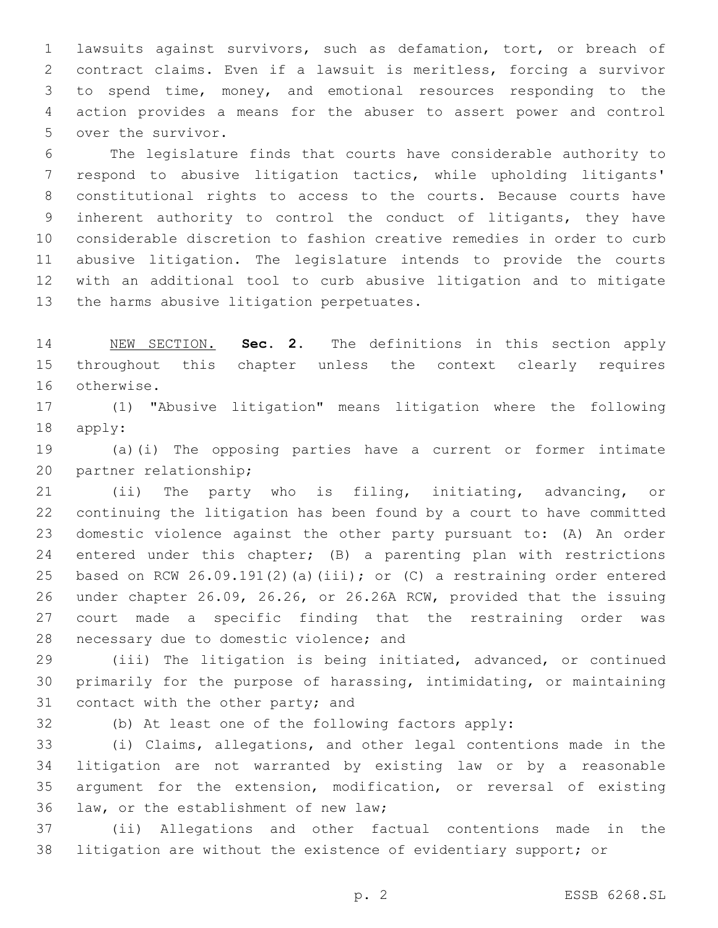lawsuits against survivors, such as defamation, tort, or breach of contract claims. Even if a lawsuit is meritless, forcing a survivor to spend time, money, and emotional resources responding to the action provides a means for the abuser to assert power and control 5 over the survivor.

 The legislature finds that courts have considerable authority to respond to abusive litigation tactics, while upholding litigants' constitutional rights to access to the courts. Because courts have inherent authority to control the conduct of litigants, they have considerable discretion to fashion creative remedies in order to curb abusive litigation. The legislature intends to provide the courts with an additional tool to curb abusive litigation and to mitigate 13 the harms abusive litigation perpetuates.

 NEW SECTION. **Sec. 2.** The definitions in this section apply throughout this chapter unless the context clearly requires otherwise.

 (1) "Abusive litigation" means litigation where the following 18 apply:

 (a)(i) The opposing parties have a current or former intimate 20 partner relationship;

 (ii) The party who is filing, initiating, advancing, or continuing the litigation has been found by a court to have committed domestic violence against the other party pursuant to: (A) An order entered under this chapter; (B) a parenting plan with restrictions based on RCW 26.09.191(2)(a)(iii); or (C) a restraining order entered under chapter 26.09, 26.26, or 26.26A RCW, provided that the issuing court made a specific finding that the restraining order was 28 necessary due to domestic violence; and

 (iii) The litigation is being initiated, advanced, or continued primarily for the purpose of harassing, intimidating, or maintaining 31 contact with the other party; and

(b) At least one of the following factors apply:

 (i) Claims, allegations, and other legal contentions made in the litigation are not warranted by existing law or by a reasonable argument for the extension, modification, or reversal of existing 36 law, or the establishment of new law;

 (ii) Allegations and other factual contentions made in the litigation are without the existence of evidentiary support; or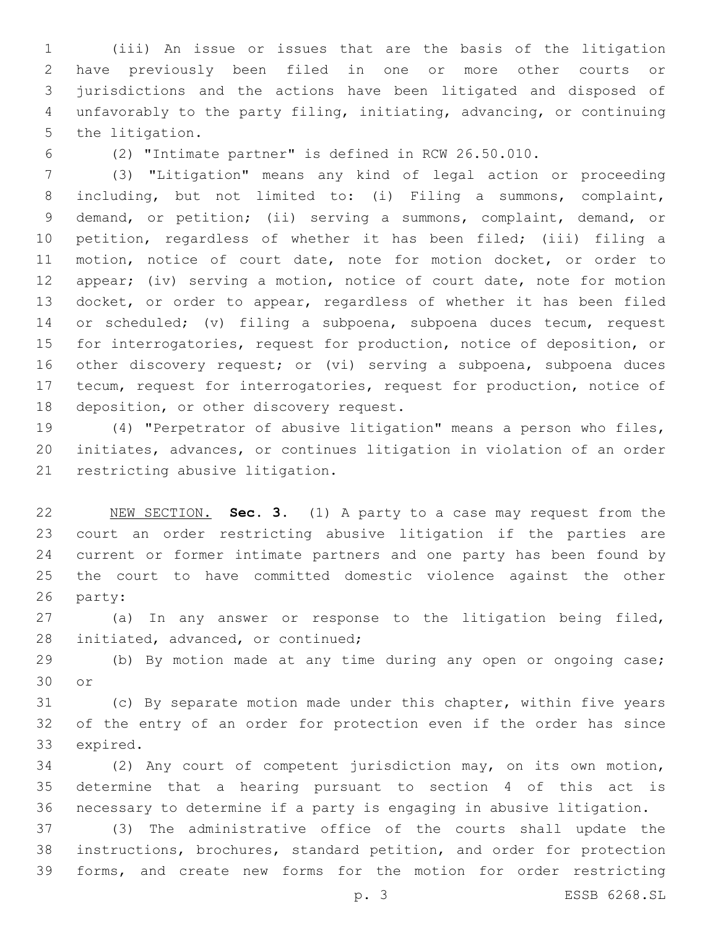(iii) An issue or issues that are the basis of the litigation have previously been filed in one or more other courts or jurisdictions and the actions have been litigated and disposed of unfavorably to the party filing, initiating, advancing, or continuing 5 the litigation.

(2) "Intimate partner" is defined in RCW 26.50.010.

 (3) "Litigation" means any kind of legal action or proceeding including, but not limited to: (i) Filing a summons, complaint, demand, or petition; (ii) serving a summons, complaint, demand, or petition, regardless of whether it has been filed; (iii) filing a motion, notice of court date, note for motion docket, or order to appear; (iv) serving a motion, notice of court date, note for motion docket, or order to appear, regardless of whether it has been filed or scheduled; (v) filing a subpoena, subpoena duces tecum, request for interrogatories, request for production, notice of deposition, or other discovery request; or (vi) serving a subpoena, subpoena duces tecum, request for interrogatories, request for production, notice of 18 deposition, or other discovery request.

 (4) "Perpetrator of abusive litigation" means a person who files, initiates, advances, or continues litigation in violation of an order 21 restricting abusive litigation.

 NEW SECTION. **Sec. 3.** (1) A party to a case may request from the court an order restricting abusive litigation if the parties are current or former intimate partners and one party has been found by the court to have committed domestic violence against the other party:

 (a) In any answer or response to the litigation being filed, 28 initiated, advanced, or continued;

 (b) By motion made at any time during any open or ongoing case; 30 or

 (c) By separate motion made under this chapter, within five years of the entry of an order for protection even if the order has since 33 expired.

 (2) Any court of competent jurisdiction may, on its own motion, determine that a hearing pursuant to section 4 of this act is necessary to determine if a party is engaging in abusive litigation.

 (3) The administrative office of the courts shall update the instructions, brochures, standard petition, and order for protection forms, and create new forms for the motion for order restricting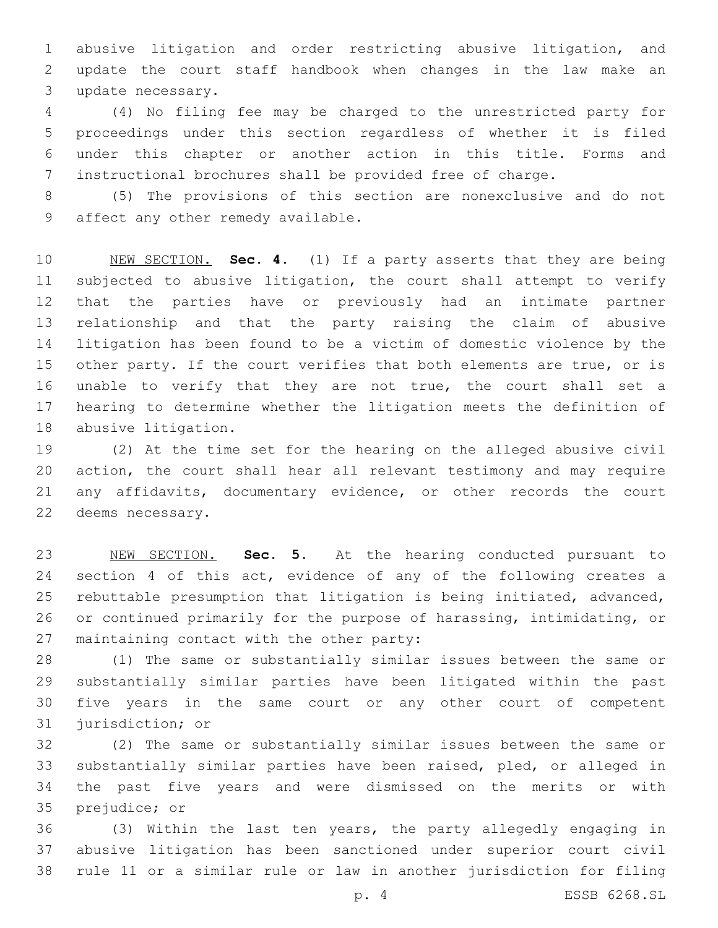abusive litigation and order restricting abusive litigation, and update the court staff handbook when changes in the law make an 3 update necessary.

 (4) No filing fee may be charged to the unrestricted party for proceedings under this section regardless of whether it is filed under this chapter or another action in this title. Forms and instructional brochures shall be provided free of charge.

 (5) The provisions of this section are nonexclusive and do not 9 affect any other remedy available.

 NEW SECTION. **Sec. 4.** (1) If a party asserts that they are being subjected to abusive litigation, the court shall attempt to verify that the parties have or previously had an intimate partner relationship and that the party raising the claim of abusive litigation has been found to be a victim of domestic violence by the other party. If the court verifies that both elements are true, or is unable to verify that they are not true, the court shall set a hearing to determine whether the litigation meets the definition of abusive litigation.

 (2) At the time set for the hearing on the alleged abusive civil action, the court shall hear all relevant testimony and may require any affidavits, documentary evidence, or other records the court 22 deems necessary.

 NEW SECTION. **Sec. 5.** At the hearing conducted pursuant to 24 section 4 of this act, evidence of any of the following creates a rebuttable presumption that litigation is being initiated, advanced, or continued primarily for the purpose of harassing, intimidating, or maintaining contact with the other party:

 (1) The same or substantially similar issues between the same or substantially similar parties have been litigated within the past five years in the same court or any other court of competent 31 jurisdiction; or

 (2) The same or substantially similar issues between the same or substantially similar parties have been raised, pled, or alleged in the past five years and were dismissed on the merits or with 35 prejudice; or

 (3) Within the last ten years, the party allegedly engaging in abusive litigation has been sanctioned under superior court civil rule 11 or a similar rule or law in another jurisdiction for filing

p. 4 ESSB 6268.SL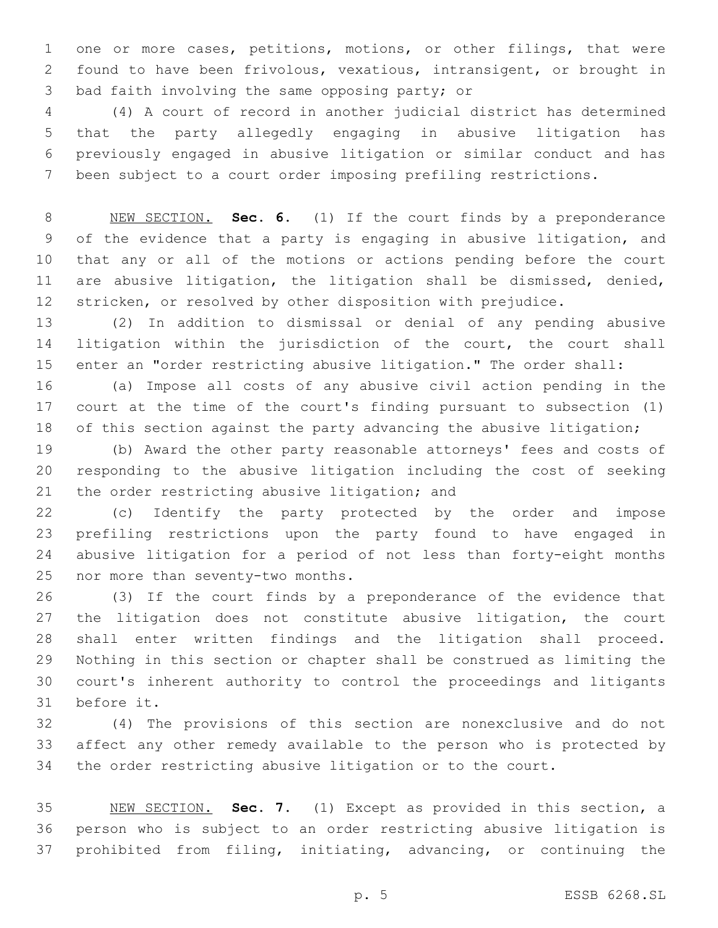one or more cases, petitions, motions, or other filings, that were found to have been frivolous, vexatious, intransigent, or brought in 3 bad faith involving the same opposing party; or

 (4) A court of record in another judicial district has determined that the party allegedly engaging in abusive litigation has previously engaged in abusive litigation or similar conduct and has been subject to a court order imposing prefiling restrictions.

 NEW SECTION. **Sec. 6.** (1) If the court finds by a preponderance of the evidence that a party is engaging in abusive litigation, and that any or all of the motions or actions pending before the court are abusive litigation, the litigation shall be dismissed, denied, stricken, or resolved by other disposition with prejudice.

 (2) In addition to dismissal or denial of any pending abusive 14 litigation within the jurisdiction of the court, the court shall enter an "order restricting abusive litigation." The order shall:

 (a) Impose all costs of any abusive civil action pending in the court at the time of the court's finding pursuant to subsection (1) 18 of this section against the party advancing the abusive litigation;

 (b) Award the other party reasonable attorneys' fees and costs of responding to the abusive litigation including the cost of seeking 21 the order restricting abusive litigation; and

 (c) Identify the party protected by the order and impose prefiling restrictions upon the party found to have engaged in abusive litigation for a period of not less than forty-eight months 25 nor more than seventy-two months.

 (3) If the court finds by a preponderance of the evidence that 27 the litigation does not constitute abusive litigation, the court shall enter written findings and the litigation shall proceed. Nothing in this section or chapter shall be construed as limiting the court's inherent authority to control the proceedings and litigants 31 before it.

 (4) The provisions of this section are nonexclusive and do not affect any other remedy available to the person who is protected by the order restricting abusive litigation or to the court.

 NEW SECTION. **Sec. 7.** (1) Except as provided in this section, a person who is subject to an order restricting abusive litigation is prohibited from filing, initiating, advancing, or continuing the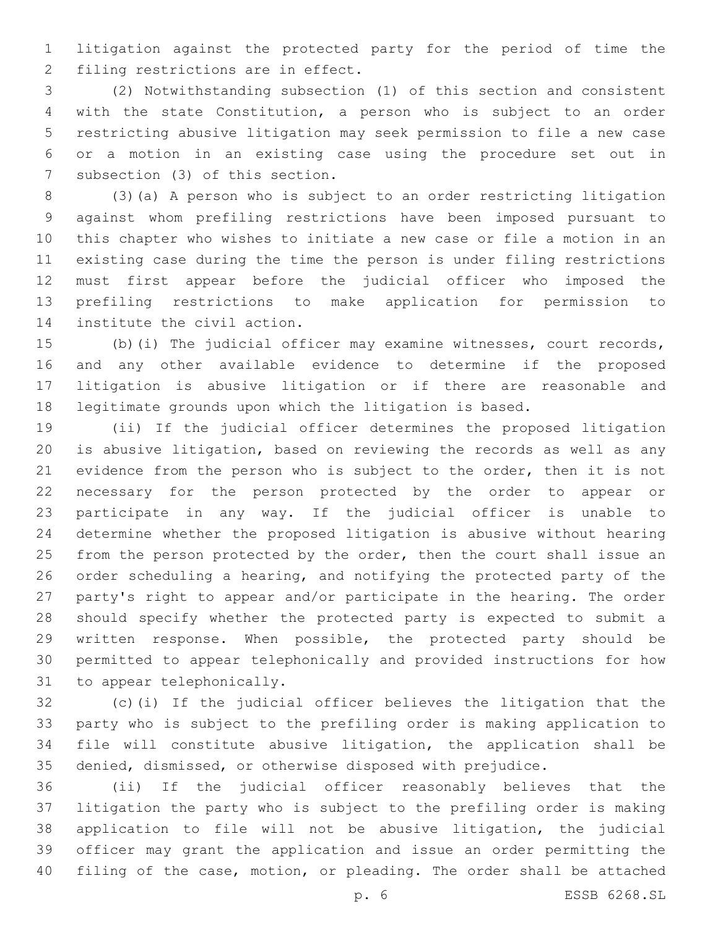litigation against the protected party for the period of time the 2 filing restrictions are in effect.

 (2) Notwithstanding subsection (1) of this section and consistent with the state Constitution, a person who is subject to an order restricting abusive litigation may seek permission to file a new case or a motion in an existing case using the procedure set out in 7 subsection (3) of this section.

 (3)(a) A person who is subject to an order restricting litigation against whom prefiling restrictions have been imposed pursuant to this chapter who wishes to initiate a new case or file a motion in an existing case during the time the person is under filing restrictions must first appear before the judicial officer who imposed the prefiling restrictions to make application for permission to 14 institute the civil action.

 (b)(i) The judicial officer may examine witnesses, court records, and any other available evidence to determine if the proposed litigation is abusive litigation or if there are reasonable and legitimate grounds upon which the litigation is based.

 (ii) If the judicial officer determines the proposed litigation is abusive litigation, based on reviewing the records as well as any evidence from the person who is subject to the order, then it is not necessary for the person protected by the order to appear or participate in any way. If the judicial officer is unable to determine whether the proposed litigation is abusive without hearing 25 from the person protected by the order, then the court shall issue an order scheduling a hearing, and notifying the protected party of the party's right to appear and/or participate in the hearing. The order should specify whether the protected party is expected to submit a written response. When possible, the protected party should be permitted to appear telephonically and provided instructions for how 31 to appear telephonically.

 (c)(i) If the judicial officer believes the litigation that the party who is subject to the prefiling order is making application to file will constitute abusive litigation, the application shall be denied, dismissed, or otherwise disposed with prejudice.

 (ii) If the judicial officer reasonably believes that the litigation the party who is subject to the prefiling order is making application to file will not be abusive litigation, the judicial officer may grant the application and issue an order permitting the filing of the case, motion, or pleading. The order shall be attached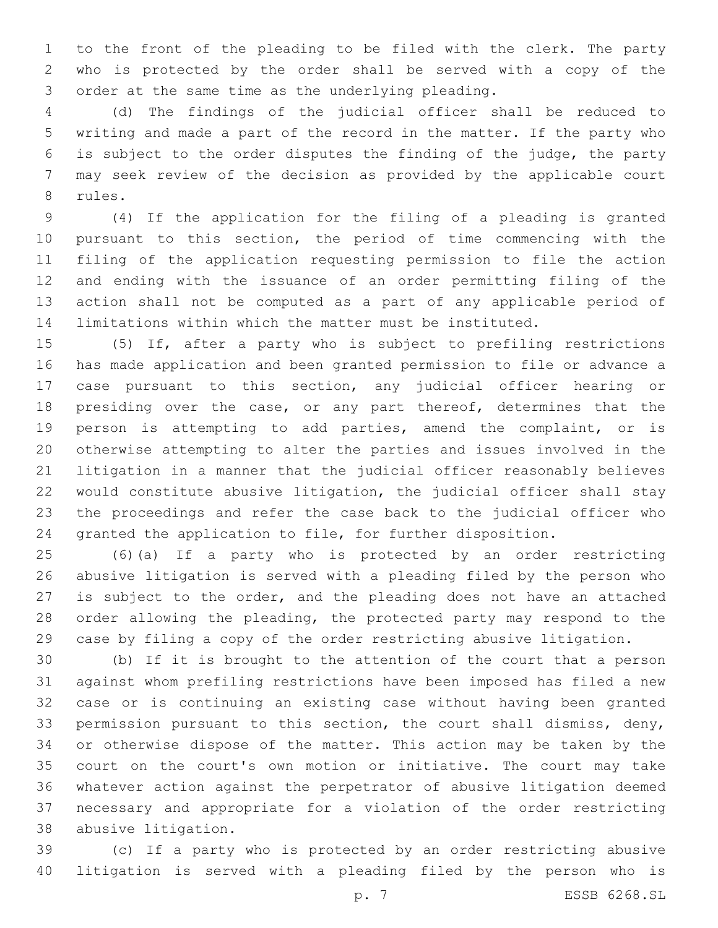to the front of the pleading to be filed with the clerk. The party who is protected by the order shall be served with a copy of the 3 order at the same time as the underlying pleading.

 (d) The findings of the judicial officer shall be reduced to writing and made a part of the record in the matter. If the party who is subject to the order disputes the finding of the judge, the party may seek review of the decision as provided by the applicable court 8 rules.

 (4) If the application for the filing of a pleading is granted pursuant to this section, the period of time commencing with the filing of the application requesting permission to file the action and ending with the issuance of an order permitting filing of the action shall not be computed as a part of any applicable period of limitations within which the matter must be instituted.

 (5) If, after a party who is subject to prefiling restrictions has made application and been granted permission to file or advance a case pursuant to this section, any judicial officer hearing or 18 presiding over the case, or any part thereof, determines that the person is attempting to add parties, amend the complaint, or is otherwise attempting to alter the parties and issues involved in the litigation in a manner that the judicial officer reasonably believes would constitute abusive litigation, the judicial officer shall stay the proceedings and refer the case back to the judicial officer who granted the application to file, for further disposition.

 (6)(a) If a party who is protected by an order restricting abusive litigation is served with a pleading filed by the person who is subject to the order, and the pleading does not have an attached order allowing the pleading, the protected party may respond to the case by filing a copy of the order restricting abusive litigation.

 (b) If it is brought to the attention of the court that a person against whom prefiling restrictions have been imposed has filed a new case or is continuing an existing case without having been granted permission pursuant to this section, the court shall dismiss, deny, or otherwise dispose of the matter. This action may be taken by the court on the court's own motion or initiative. The court may take whatever action against the perpetrator of abusive litigation deemed necessary and appropriate for a violation of the order restricting abusive litigation.38

 (c) If a party who is protected by an order restricting abusive litigation is served with a pleading filed by the person who is

p. 7 ESSB 6268.SL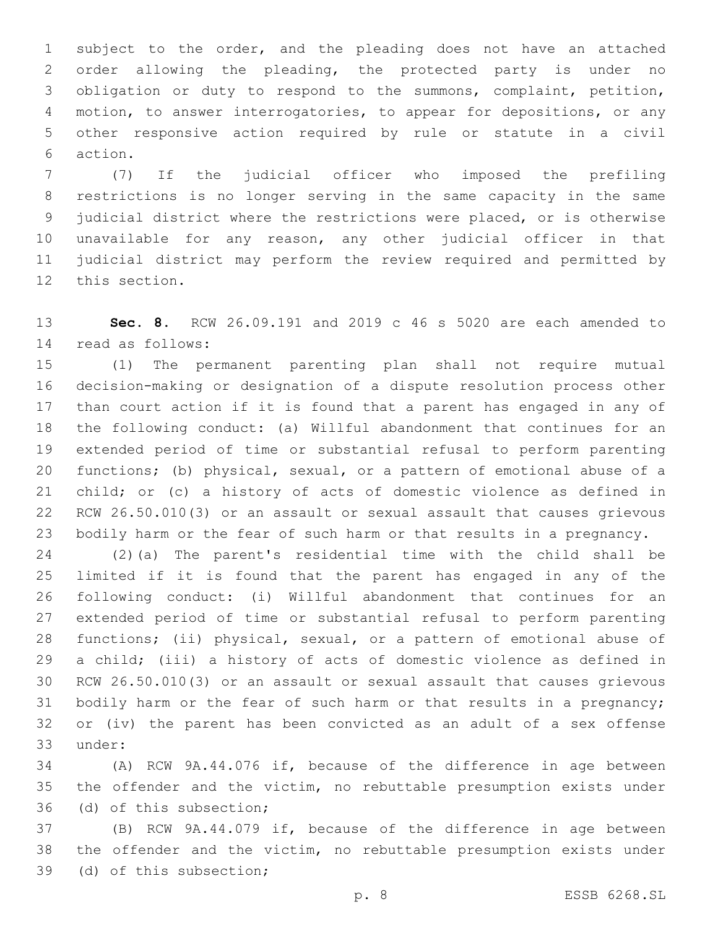subject to the order, and the pleading does not have an attached order allowing the pleading, the protected party is under no obligation or duty to respond to the summons, complaint, petition, motion, to answer interrogatories, to appear for depositions, or any other responsive action required by rule or statute in a civil 6 action.

 (7) If the judicial officer who imposed the prefiling restrictions is no longer serving in the same capacity in the same judicial district where the restrictions were placed, or is otherwise unavailable for any reason, any other judicial officer in that judicial district may perform the review required and permitted by 12 this section.

 **Sec. 8.** RCW 26.09.191 and 2019 c 46 s 5020 are each amended to 14 read as follows:

 (1) The permanent parenting plan shall not require mutual decision-making or designation of a dispute resolution process other than court action if it is found that a parent has engaged in any of the following conduct: (a) Willful abandonment that continues for an extended period of time or substantial refusal to perform parenting functions; (b) physical, sexual, or a pattern of emotional abuse of a child; or (c) a history of acts of domestic violence as defined in RCW 26.50.010(3) or an assault or sexual assault that causes grievous bodily harm or the fear of such harm or that results in a pregnancy.

 (2)(a) The parent's residential time with the child shall be limited if it is found that the parent has engaged in any of the following conduct: (i) Willful abandonment that continues for an extended period of time or substantial refusal to perform parenting functions; (ii) physical, sexual, or a pattern of emotional abuse of a child; (iii) a history of acts of domestic violence as defined in RCW 26.50.010(3) or an assault or sexual assault that causes grievous bodily harm or the fear of such harm or that results in a pregnancy; or (iv) the parent has been convicted as an adult of a sex offense 33 under:

 (A) RCW 9A.44.076 if, because of the difference in age between the offender and the victim, no rebuttable presumption exists under 36 (d) of this subsection;

 (B) RCW 9A.44.079 if, because of the difference in age between the offender and the victim, no rebuttable presumption exists under 39 (d) of this subsection;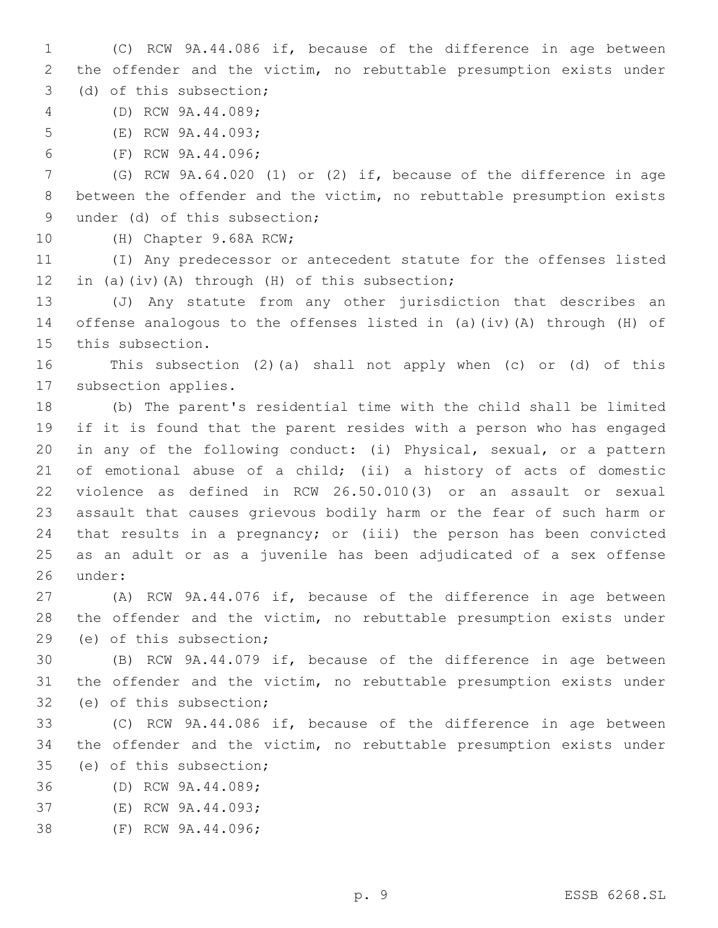1 (C) RCW 9A.44.086 if, because of the difference in age between 2 the offender and the victim, no rebuttable presumption exists under 3 (d) of this subsection;

(D) RCW 9A.44.089;4

5 (E) RCW 9A.44.093;

6 (F) RCW 9A.44.096;

7 (G) RCW 9A.64.020 (1) or (2) if, because of the difference in age 8 between the offender and the victim, no rebuttable presumption exists 9 under (d) of this subsection;

10 (H) Chapter 9.68A RCW;

11 (I) Any predecessor or antecedent statute for the offenses listed 12 in (a)(iv)(A) through (H) of this subsection;

13 (J) Any statute from any other jurisdiction that describes an 14 offense analogous to the offenses listed in (a)(iv)(A) through (H) of 15 this subsection.

16 This subsection (2)(a) shall not apply when (c) or (d) of this 17 subsection applies.

 (b) The parent's residential time with the child shall be limited if it is found that the parent resides with a person who has engaged in any of the following conduct: (i) Physical, sexual, or a pattern of emotional abuse of a child; (ii) a history of acts of domestic violence as defined in RCW 26.50.010(3) or an assault or sexual assault that causes grievous bodily harm or the fear of such harm or that results in a pregnancy; or (iii) the person has been convicted as an adult or as a juvenile has been adjudicated of a sex offense 26 under:

27 (A) RCW 9A.44.076 if, because of the difference in age between 28 the offender and the victim, no rebuttable presumption exists under 29 (e) of this subsection;

30 (B) RCW 9A.44.079 if, because of the difference in age between 31 the offender and the victim, no rebuttable presumption exists under 32 (e) of this subsection;

33 (C) RCW 9A.44.086 if, because of the difference in age between 34 the offender and the victim, no rebuttable presumption exists under 35 (e) of this subsection;

36 (D) RCW 9A.44.089;

37 (E) RCW 9A.44.093;

38 (F) RCW 9A.44.096;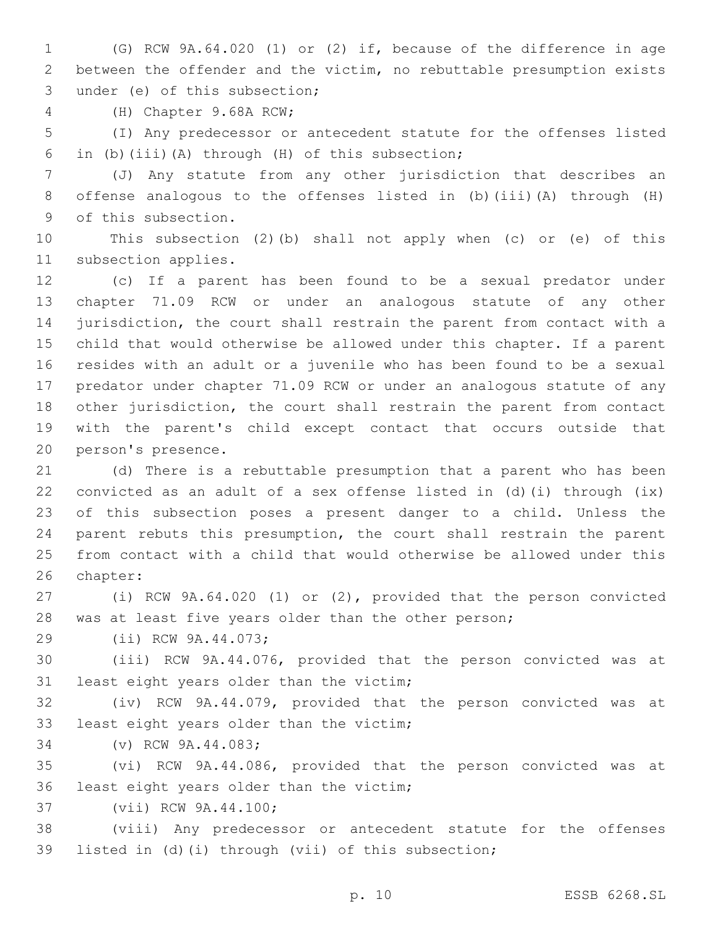(G) RCW 9A.64.020 (1) or (2) if, because of the difference in age between the offender and the victim, no rebuttable presumption exists 3 under (e) of this subsection;

4 (H) Chapter 9.68A RCW;

 (I) Any predecessor or antecedent statute for the offenses listed 6 in (b)(iii)(A) through (H) of this subsection;

 (J) Any statute from any other jurisdiction that describes an offense analogous to the offenses listed in (b)(iii)(A) through (H) 9 of this subsection.

 This subsection (2)(b) shall not apply when (c) or (e) of this 11 subsection applies.

 (c) If a parent has been found to be a sexual predator under chapter 71.09 RCW or under an analogous statute of any other jurisdiction, the court shall restrain the parent from contact with a child that would otherwise be allowed under this chapter. If a parent resides with an adult or a juvenile who has been found to be a sexual predator under chapter 71.09 RCW or under an analogous statute of any other jurisdiction, the court shall restrain the parent from contact with the parent's child except contact that occurs outside that 20 person's presence.

 (d) There is a rebuttable presumption that a parent who has been convicted as an adult of a sex offense listed in (d)(i) through (ix) of this subsection poses a present danger to a child. Unless the parent rebuts this presumption, the court shall restrain the parent from contact with a child that would otherwise be allowed under this 26 chapter:

 (i) RCW 9A.64.020 (1) or (2), provided that the person convicted 28 was at least five years older than the other person;

29 (ii) RCW 9A.44.073;

 (iii) RCW 9A.44.076, provided that the person convicted was at 31 least eight years older than the victim;

 (iv) RCW 9A.44.079, provided that the person convicted was at 33 least eight years older than the victim;

34 (v) RCW 9A.44.083;

 (vi) RCW 9A.44.086, provided that the person convicted was at 36 least eight years older than the victim;

37 (vii) RCW 9A.44.100;

 (viii) Any predecessor or antecedent statute for the offenses listed in (d)(i) through (vii) of this subsection;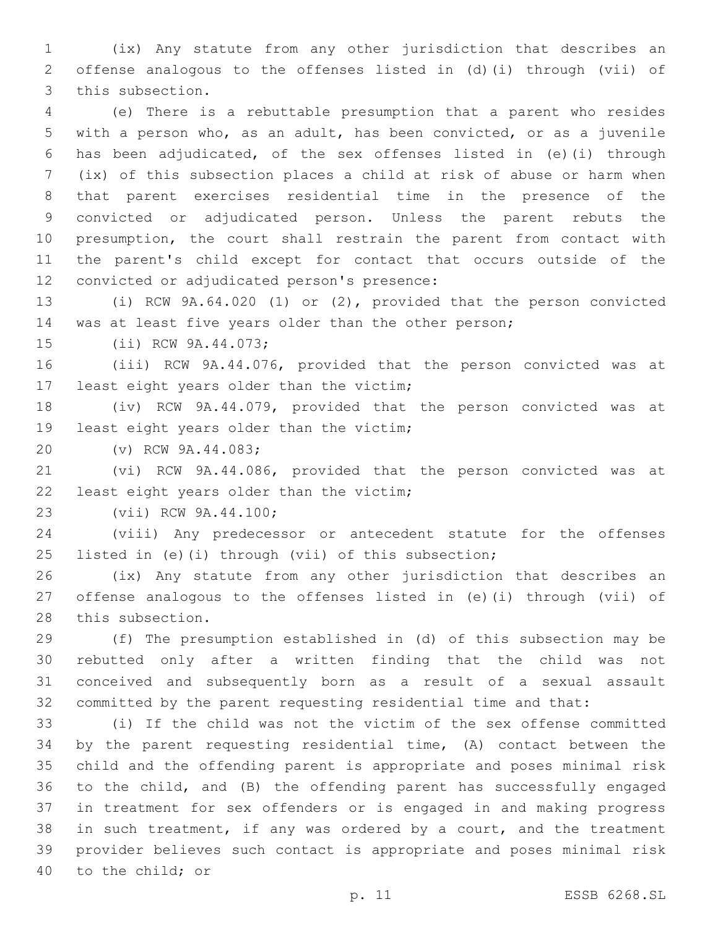(ix) Any statute from any other jurisdiction that describes an offense analogous to the offenses listed in (d)(i) through (vii) of 3 this subsection.

 (e) There is a rebuttable presumption that a parent who resides with a person who, as an adult, has been convicted, or as a juvenile has been adjudicated, of the sex offenses listed in (e)(i) through (ix) of this subsection places a child at risk of abuse or harm when that parent exercises residential time in the presence of the convicted or adjudicated person. Unless the parent rebuts the presumption, the court shall restrain the parent from contact with the parent's child except for contact that occurs outside of the 12 convicted or adjudicated person's presence:

 (i) RCW 9A.64.020 (1) or (2), provided that the person convicted was at least five years older than the other person;

15 (ii) RCW 9A.44.073;

 (iii) RCW 9A.44.076, provided that the person convicted was at 17 least eight years older than the victim;

 (iv) RCW 9A.44.079, provided that the person convicted was at 19 least eight years older than the victim;

20 (v) RCW 9A.44.083;

 (vi) RCW 9A.44.086, provided that the person convicted was at 22 least eight years older than the victim;

23 (vii) RCW 9A.44.100;

 (viii) Any predecessor or antecedent statute for the offenses listed in (e)(i) through (vii) of this subsection;

 (ix) Any statute from any other jurisdiction that describes an offense analogous to the offenses listed in (e)(i) through (vii) of 28 this subsection.

 (f) The presumption established in (d) of this subsection may be rebutted only after a written finding that the child was not conceived and subsequently born as a result of a sexual assault committed by the parent requesting residential time and that:

 (i) If the child was not the victim of the sex offense committed by the parent requesting residential time, (A) contact between the child and the offending parent is appropriate and poses minimal risk to the child, and (B) the offending parent has successfully engaged in treatment for sex offenders or is engaged in and making progress in such treatment, if any was ordered by a court, and the treatment provider believes such contact is appropriate and poses minimal risk 40 to the child; or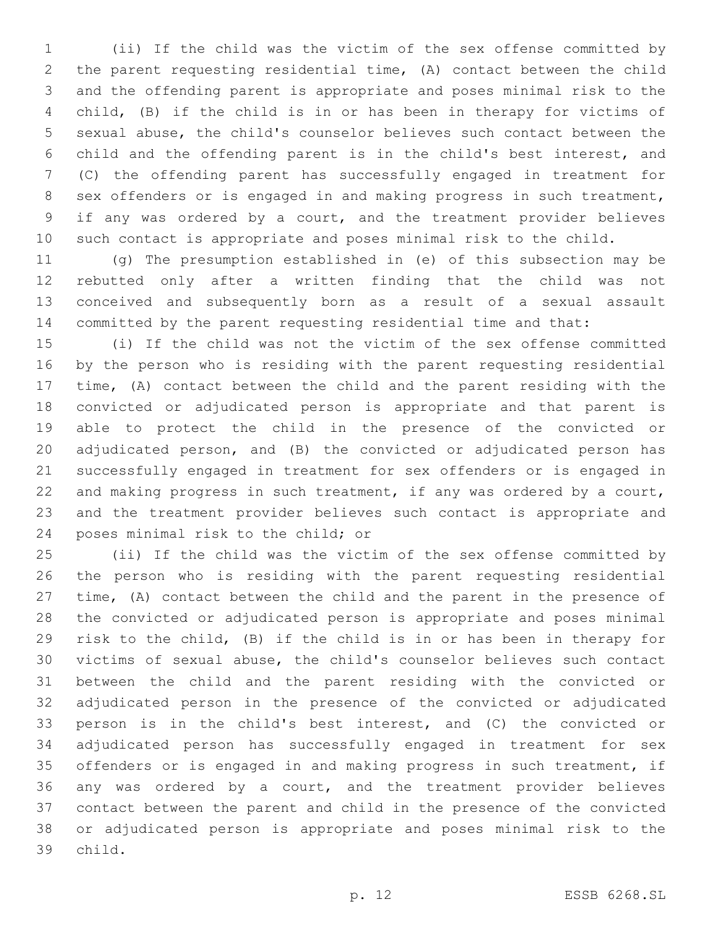(ii) If the child was the victim of the sex offense committed by the parent requesting residential time, (A) contact between the child and the offending parent is appropriate and poses minimal risk to the child, (B) if the child is in or has been in therapy for victims of sexual abuse, the child's counselor believes such contact between the child and the offending parent is in the child's best interest, and (C) the offending parent has successfully engaged in treatment for sex offenders or is engaged in and making progress in such treatment, if any was ordered by a court, and the treatment provider believes such contact is appropriate and poses minimal risk to the child.

 (g) The presumption established in (e) of this subsection may be rebutted only after a written finding that the child was not conceived and subsequently born as a result of a sexual assault committed by the parent requesting residential time and that:

 (i) If the child was not the victim of the sex offense committed by the person who is residing with the parent requesting residential time, (A) contact between the child and the parent residing with the convicted or adjudicated person is appropriate and that parent is able to protect the child in the presence of the convicted or adjudicated person, and (B) the convicted or adjudicated person has successfully engaged in treatment for sex offenders or is engaged in 22 and making progress in such treatment, if any was ordered by a court, and the treatment provider believes such contact is appropriate and 24 poses minimal risk to the child; or

 (ii) If the child was the victim of the sex offense committed by the person who is residing with the parent requesting residential time, (A) contact between the child and the parent in the presence of the convicted or adjudicated person is appropriate and poses minimal risk to the child, (B) if the child is in or has been in therapy for victims of sexual abuse, the child's counselor believes such contact between the child and the parent residing with the convicted or adjudicated person in the presence of the convicted or adjudicated person is in the child's best interest, and (C) the convicted or adjudicated person has successfully engaged in treatment for sex offenders or is engaged in and making progress in such treatment, if any was ordered by a court, and the treatment provider believes contact between the parent and child in the presence of the convicted or adjudicated person is appropriate and poses minimal risk to the 39 child.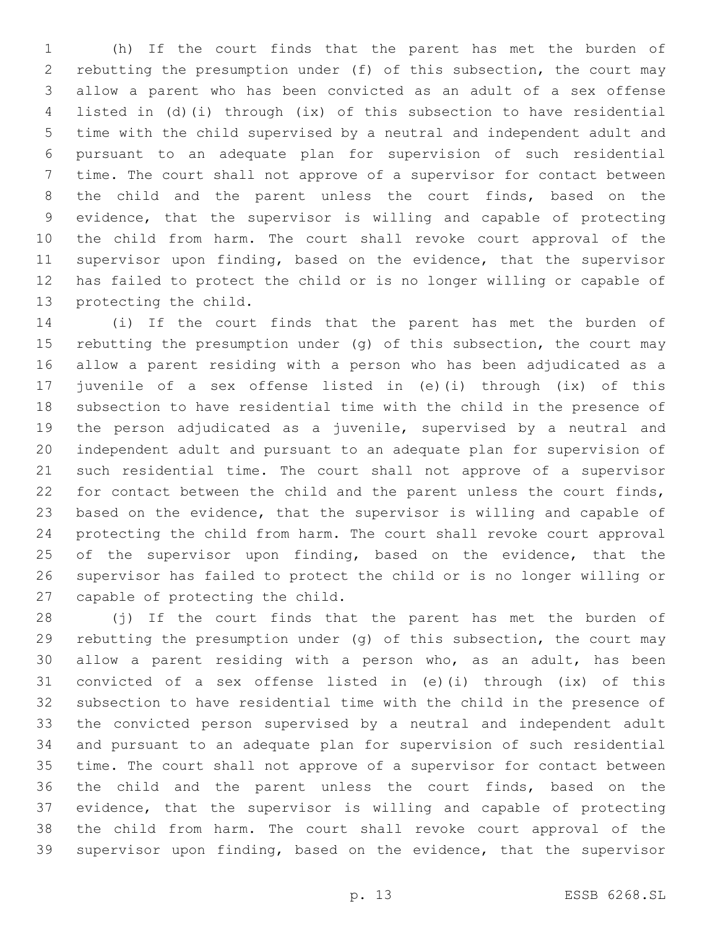(h) If the court finds that the parent has met the burden of rebutting the presumption under (f) of this subsection, the court may allow a parent who has been convicted as an adult of a sex offense listed in (d)(i) through (ix) of this subsection to have residential time with the child supervised by a neutral and independent adult and pursuant to an adequate plan for supervision of such residential time. The court shall not approve of a supervisor for contact between the child and the parent unless the court finds, based on the evidence, that the supervisor is willing and capable of protecting the child from harm. The court shall revoke court approval of the supervisor upon finding, based on the evidence, that the supervisor has failed to protect the child or is no longer willing or capable of 13 protecting the child.

 (i) If the court finds that the parent has met the burden of rebutting the presumption under (g) of this subsection, the court may allow a parent residing with a person who has been adjudicated as a juvenile of a sex offense listed in (e)(i) through (ix) of this subsection to have residential time with the child in the presence of the person adjudicated as a juvenile, supervised by a neutral and independent adult and pursuant to an adequate plan for supervision of such residential time. The court shall not approve of a supervisor for contact between the child and the parent unless the court finds, based on the evidence, that the supervisor is willing and capable of protecting the child from harm. The court shall revoke court approval 25 of the supervisor upon finding, based on the evidence, that the supervisor has failed to protect the child or is no longer willing or 27 capable of protecting the child.

 (j) If the court finds that the parent has met the burden of rebutting the presumption under (g) of this subsection, the court may allow a parent residing with a person who, as an adult, has been convicted of a sex offense listed in (e)(i) through (ix) of this subsection to have residential time with the child in the presence of the convicted person supervised by a neutral and independent adult and pursuant to an adequate plan for supervision of such residential time. The court shall not approve of a supervisor for contact between the child and the parent unless the court finds, based on the evidence, that the supervisor is willing and capable of protecting the child from harm. The court shall revoke court approval of the supervisor upon finding, based on the evidence, that the supervisor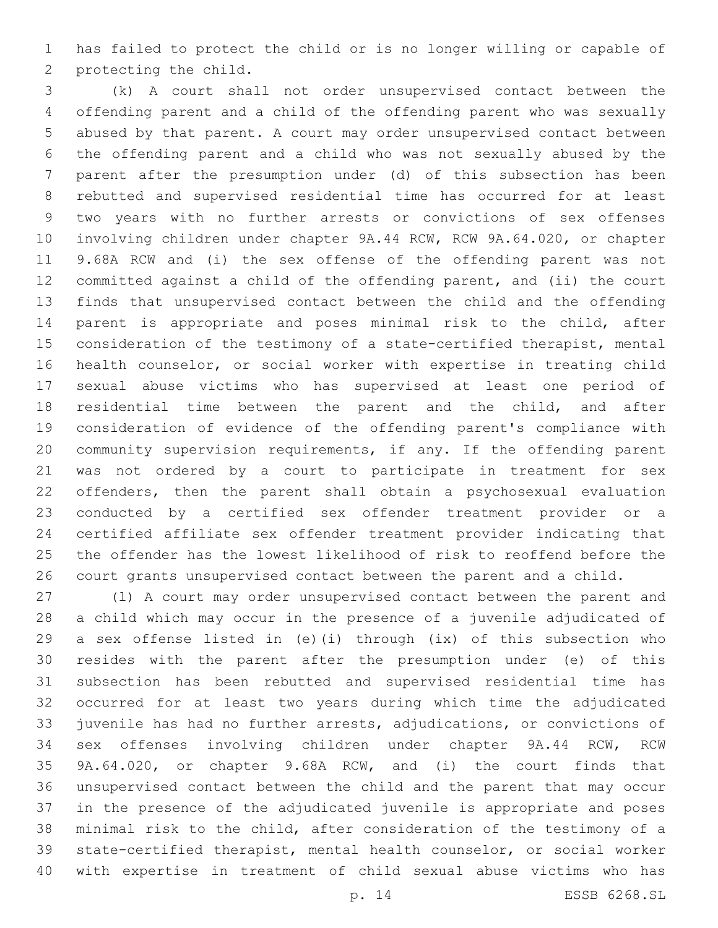has failed to protect the child or is no longer willing or capable of 2 protecting the child.

 (k) A court shall not order unsupervised contact between the offending parent and a child of the offending parent who was sexually abused by that parent. A court may order unsupervised contact between the offending parent and a child who was not sexually abused by the parent after the presumption under (d) of this subsection has been rebutted and supervised residential time has occurred for at least two years with no further arrests or convictions of sex offenses involving children under chapter 9A.44 RCW, RCW 9A.64.020, or chapter 9.68A RCW and (i) the sex offense of the offending parent was not committed against a child of the offending parent, and (ii) the court finds that unsupervised contact between the child and the offending parent is appropriate and poses minimal risk to the child, after consideration of the testimony of a state-certified therapist, mental health counselor, or social worker with expertise in treating child sexual abuse victims who has supervised at least one period of residential time between the parent and the child, and after consideration of evidence of the offending parent's compliance with community supervision requirements, if any. If the offending parent was not ordered by a court to participate in treatment for sex offenders, then the parent shall obtain a psychosexual evaluation conducted by a certified sex offender treatment provider or a certified affiliate sex offender treatment provider indicating that the offender has the lowest likelihood of risk to reoffend before the court grants unsupervised contact between the parent and a child.

 (l) A court may order unsupervised contact between the parent and a child which may occur in the presence of a juvenile adjudicated of a sex offense listed in (e)(i) through (ix) of this subsection who resides with the parent after the presumption under (e) of this subsection has been rebutted and supervised residential time has occurred for at least two years during which time the adjudicated juvenile has had no further arrests, adjudications, or convictions of sex offenses involving children under chapter 9A.44 RCW, RCW 9A.64.020, or chapter 9.68A RCW, and (i) the court finds that unsupervised contact between the child and the parent that may occur in the presence of the adjudicated juvenile is appropriate and poses minimal risk to the child, after consideration of the testimony of a state-certified therapist, mental health counselor, or social worker with expertise in treatment of child sexual abuse victims who has

p. 14 ESSB 6268.SL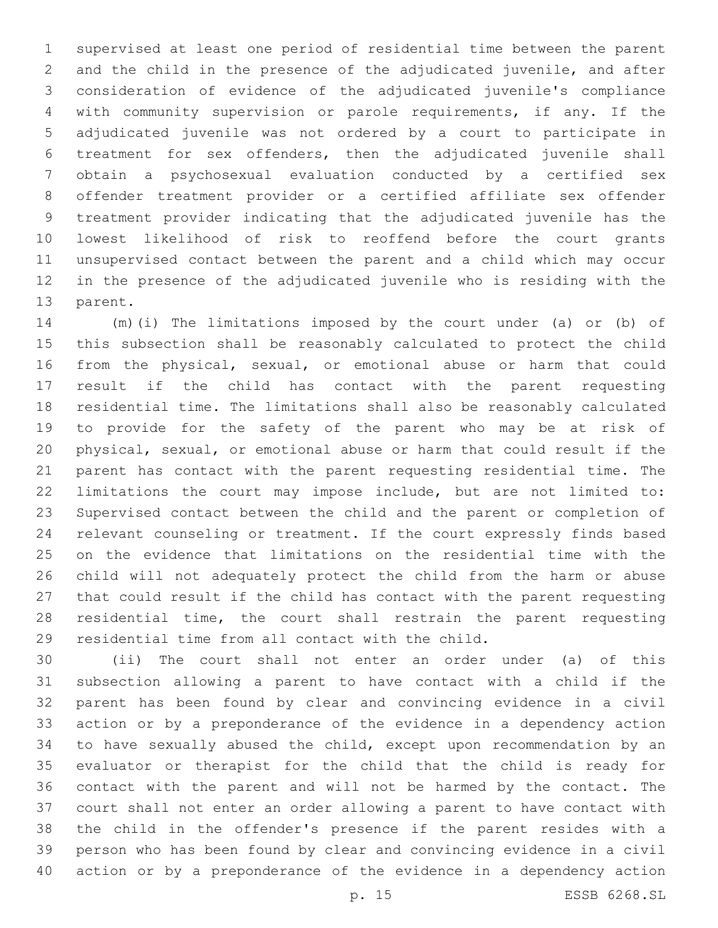supervised at least one period of residential time between the parent and the child in the presence of the adjudicated juvenile, and after consideration of evidence of the adjudicated juvenile's compliance with community supervision or parole requirements, if any. If the adjudicated juvenile was not ordered by a court to participate in treatment for sex offenders, then the adjudicated juvenile shall obtain a psychosexual evaluation conducted by a certified sex offender treatment provider or a certified affiliate sex offender treatment provider indicating that the adjudicated juvenile has the lowest likelihood of risk to reoffend before the court grants unsupervised contact between the parent and a child which may occur in the presence of the adjudicated juvenile who is residing with the 13 parent.

 (m)(i) The limitations imposed by the court under (a) or (b) of this subsection shall be reasonably calculated to protect the child from the physical, sexual, or emotional abuse or harm that could result if the child has contact with the parent requesting residential time. The limitations shall also be reasonably calculated to provide for the safety of the parent who may be at risk of physical, sexual, or emotional abuse or harm that could result if the parent has contact with the parent requesting residential time. The limitations the court may impose include, but are not limited to: Supervised contact between the child and the parent or completion of relevant counseling or treatment. If the court expressly finds based on the evidence that limitations on the residential time with the child will not adequately protect the child from the harm or abuse that could result if the child has contact with the parent requesting residential time, the court shall restrain the parent requesting 29 residential time from all contact with the child.

 (ii) The court shall not enter an order under (a) of this subsection allowing a parent to have contact with a child if the parent has been found by clear and convincing evidence in a civil action or by a preponderance of the evidence in a dependency action to have sexually abused the child, except upon recommendation by an evaluator or therapist for the child that the child is ready for contact with the parent and will not be harmed by the contact. The court shall not enter an order allowing a parent to have contact with the child in the offender's presence if the parent resides with a person who has been found by clear and convincing evidence in a civil action or by a preponderance of the evidence in a dependency action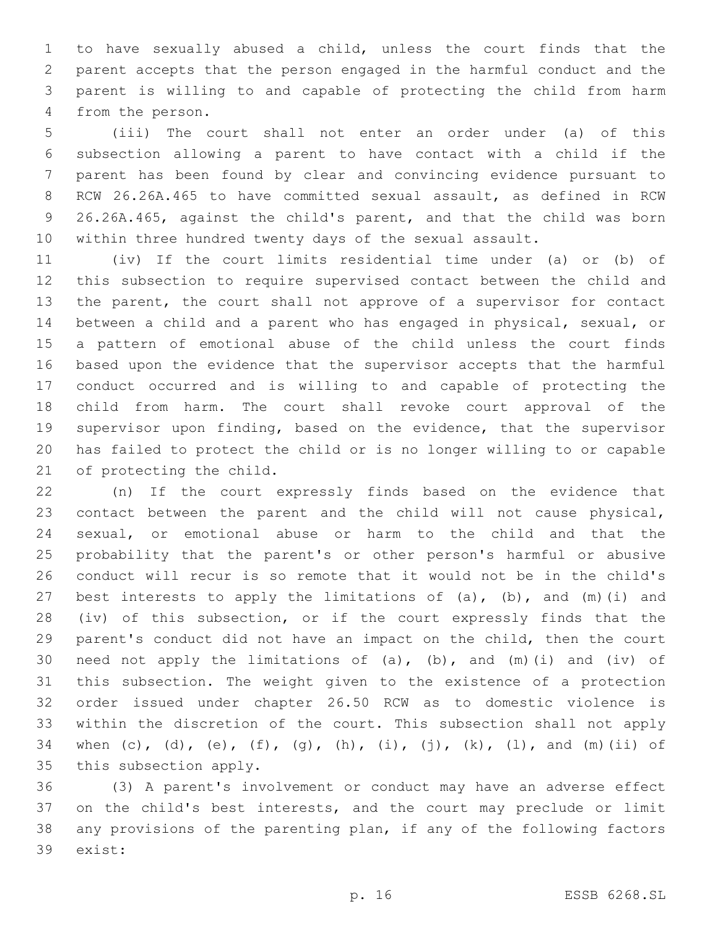to have sexually abused a child, unless the court finds that the parent accepts that the person engaged in the harmful conduct and the parent is willing to and capable of protecting the child from harm 4 from the person.

 (iii) The court shall not enter an order under (a) of this subsection allowing a parent to have contact with a child if the parent has been found by clear and convincing evidence pursuant to RCW 26.26A.465 to have committed sexual assault, as defined in RCW 26.26A.465, against the child's parent, and that the child was born within three hundred twenty days of the sexual assault.

 (iv) If the court limits residential time under (a) or (b) of this subsection to require supervised contact between the child and the parent, the court shall not approve of a supervisor for contact between a child and a parent who has engaged in physical, sexual, or a pattern of emotional abuse of the child unless the court finds based upon the evidence that the supervisor accepts that the harmful conduct occurred and is willing to and capable of protecting the child from harm. The court shall revoke court approval of the supervisor upon finding, based on the evidence, that the supervisor has failed to protect the child or is no longer willing to or capable 21 of protecting the child.

 (n) If the court expressly finds based on the evidence that contact between the parent and the child will not cause physical, sexual, or emotional abuse or harm to the child and that the probability that the parent's or other person's harmful or abusive conduct will recur is so remote that it would not be in the child's 27 best interests to apply the limitations of  $(a)$ ,  $(b)$ , and  $(m)$  (i) and (iv) of this subsection, or if the court expressly finds that the parent's conduct did not have an impact on the child, then the court 30 need not apply the limitations of (a), (b), and (m)(i) and (iv) of this subsection. The weight given to the existence of a protection order issued under chapter 26.50 RCW as to domestic violence is within the discretion of the court. This subsection shall not apply 34 when (c), (d), (e), (f), (g), (h), (i), (j), (k), (l), and (m)(ii) of 35 this subsection apply.

 (3) A parent's involvement or conduct may have an adverse effect on the child's best interests, and the court may preclude or limit any provisions of the parenting plan, if any of the following factors 39 exist: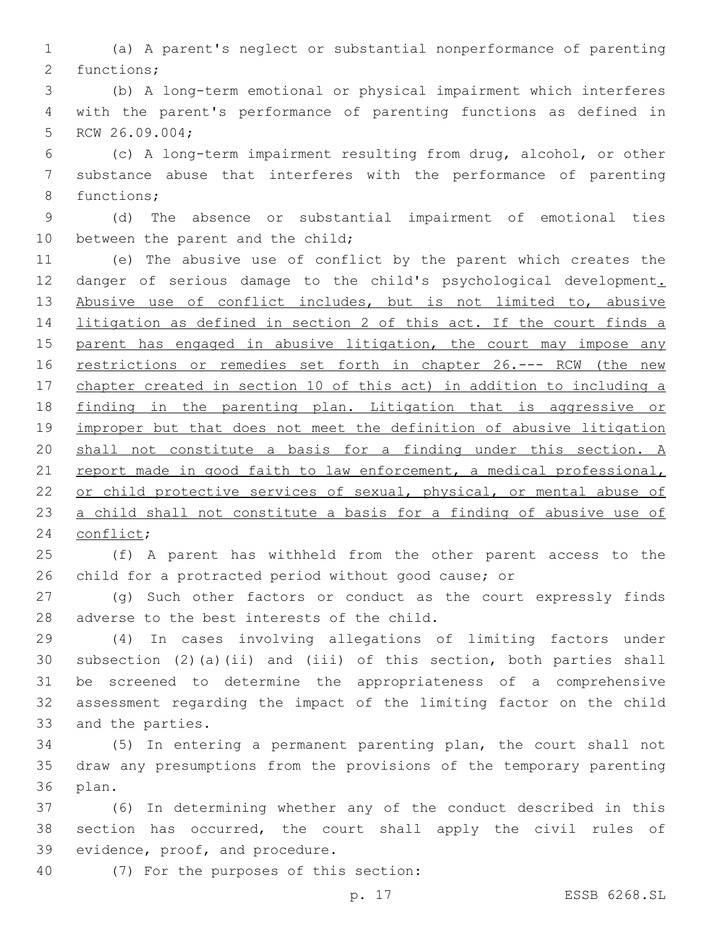(a) A parent's neglect or substantial nonperformance of parenting 2 functions;

 (b) A long-term emotional or physical impairment which interferes with the parent's performance of parenting functions as defined in 5 RCW 26.09.004;

 (c) A long-term impairment resulting from drug, alcohol, or other substance abuse that interferes with the performance of parenting 8 functions;

 (d) The absence or substantial impairment of emotional ties 10 between the parent and the child;

 (e) The abusive use of conflict by the parent which creates the 12 danger of serious damage to the child's psychological development. 13 Abusive use of conflict includes, but is not limited to, abusive litigation as defined in section 2 of this act. If the court finds a 15 parent has engaged in abusive litigation, the court may impose any 16 restrictions or remedies set forth in chapter 26.--- RCW (the new chapter created in section 10 of this act) in addition to including a finding in the parenting plan. Litigation that is aggressive or improper but that does not meet the definition of abusive litigation shall not constitute a basis for a finding under this section. A 21 report made in good faith to law enforcement, a medical professional, or child protective services of sexual, physical, or mental abuse of a child shall not constitute a basis for a finding of abusive use of 24 conflict;

 (f) A parent has withheld from the other parent access to the child for a protracted period without good cause; or

 (g) Such other factors or conduct as the court expressly finds 28 adverse to the best interests of the child.

 (4) In cases involving allegations of limiting factors under subsection (2)(a)(ii) and (iii) of this section, both parties shall be screened to determine the appropriateness of a comprehensive assessment regarding the impact of the limiting factor on the child 33 and the parties.

 (5) In entering a permanent parenting plan, the court shall not draw any presumptions from the provisions of the temporary parenting 36 plan.

 (6) In determining whether any of the conduct described in this section has occurred, the court shall apply the civil rules of 39 evidence, proof, and procedure.

(7) For the purposes of this section:40

p. 17 ESSB 6268.SL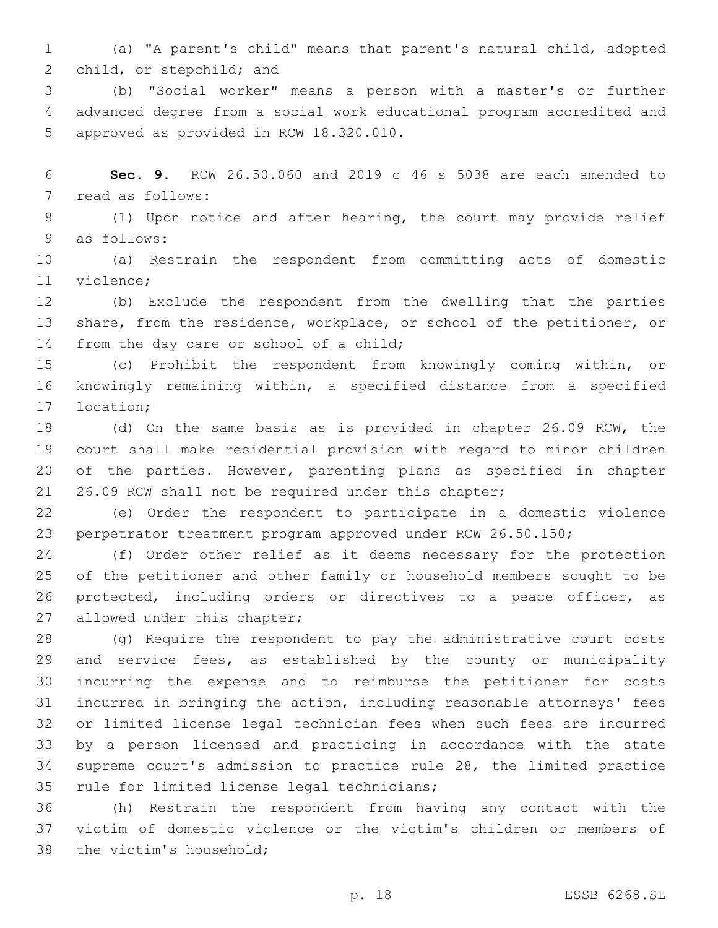(a) "A parent's child" means that parent's natural child, adopted 2 child, or stepchild; and

 (b) "Social worker" means a person with a master's or further advanced degree from a social work educational program accredited and 5 approved as provided in RCW 18.320.010.

 **Sec. 9.** RCW 26.50.060 and 2019 c 46 s 5038 are each amended to 7 read as follows:

 (1) Upon notice and after hearing, the court may provide relief 9 as follows:

 (a) Restrain the respondent from committing acts of domestic 11 violence:

 (b) Exclude the respondent from the dwelling that the parties share, from the residence, workplace, or school of the petitioner, or 14 from the day care or school of a child;

 (c) Prohibit the respondent from knowingly coming within, or knowingly remaining within, a specified distance from a specified 17 location;

 (d) On the same basis as is provided in chapter 26.09 RCW, the court shall make residential provision with regard to minor children of the parties. However, parenting plans as specified in chapter 26.09 RCW shall not be required under this chapter;

 (e) Order the respondent to participate in a domestic violence perpetrator treatment program approved under RCW 26.50.150;

 (f) Order other relief as it deems necessary for the protection of the petitioner and other family or household members sought to be protected, including orders or directives to a peace officer, as 27 allowed under this chapter;

 (g) Require the respondent to pay the administrative court costs and service fees, as established by the county or municipality incurring the expense and to reimburse the petitioner for costs incurred in bringing the action, including reasonable attorneys' fees or limited license legal technician fees when such fees are incurred by a person licensed and practicing in accordance with the state supreme court's admission to practice rule 28, the limited practice 35 rule for limited license legal technicians;

 (h) Restrain the respondent from having any contact with the victim of domestic violence or the victim's children or members of 38 the victim's household;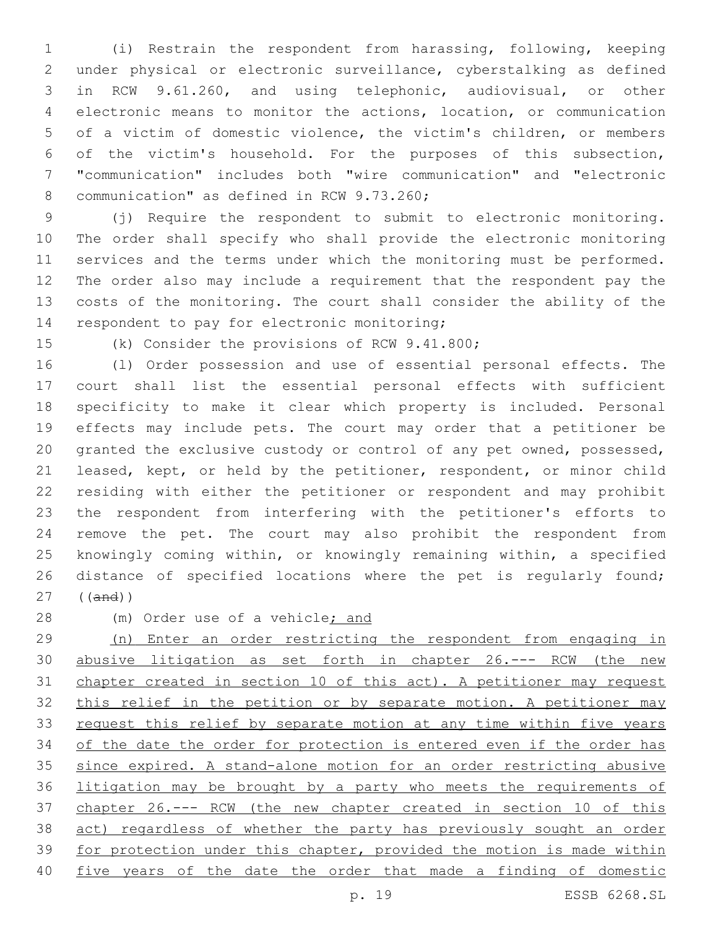(i) Restrain the respondent from harassing, following, keeping under physical or electronic surveillance, cyberstalking as defined in RCW 9.61.260, and using telephonic, audiovisual, or other electronic means to monitor the actions, location, or communication of a victim of domestic violence, the victim's children, or members of the victim's household. For the purposes of this subsection, "communication" includes both "wire communication" and "electronic 8 communication" as defined in RCW 9.73.260;

 (j) Require the respondent to submit to electronic monitoring. The order shall specify who shall provide the electronic monitoring services and the terms under which the monitoring must be performed. The order also may include a requirement that the respondent pay the costs of the monitoring. The court shall consider the ability of the 14 respondent to pay for electronic monitoring;

15 (k) Consider the provisions of RCW 9.41.800;

 (l) Order possession and use of essential personal effects. The court shall list the essential personal effects with sufficient specificity to make it clear which property is included. Personal effects may include pets. The court may order that a petitioner be granted the exclusive custody or control of any pet owned, possessed, leased, kept, or held by the petitioner, respondent, or minor child residing with either the petitioner or respondent and may prohibit the respondent from interfering with the petitioner's efforts to remove the pet. The court may also prohibit the respondent from knowingly coming within, or knowingly remaining within, a specified distance of specified locations where the pet is regularly found; ((and))

28 (m) Order use of a vehicle; and

 (n) Enter an order restricting the respondent from engaging in 30 abusive litigation as set forth in chapter 26.--- RCW (the new chapter created in section 10 of this act). A petitioner may request 32 this relief in the petition or by separate motion. A petitioner may request this relief by separate motion at any time within five years 34 of the date the order for protection is entered even if the order has since expired. A stand-alone motion for an order restricting abusive litigation may be brought by a party who meets the requirements of chapter 26.--- RCW (the new chapter created in section 10 of this act) regardless of whether the party has previously sought an order for protection under this chapter, provided the motion is made within five years of the date the order that made a finding of domestic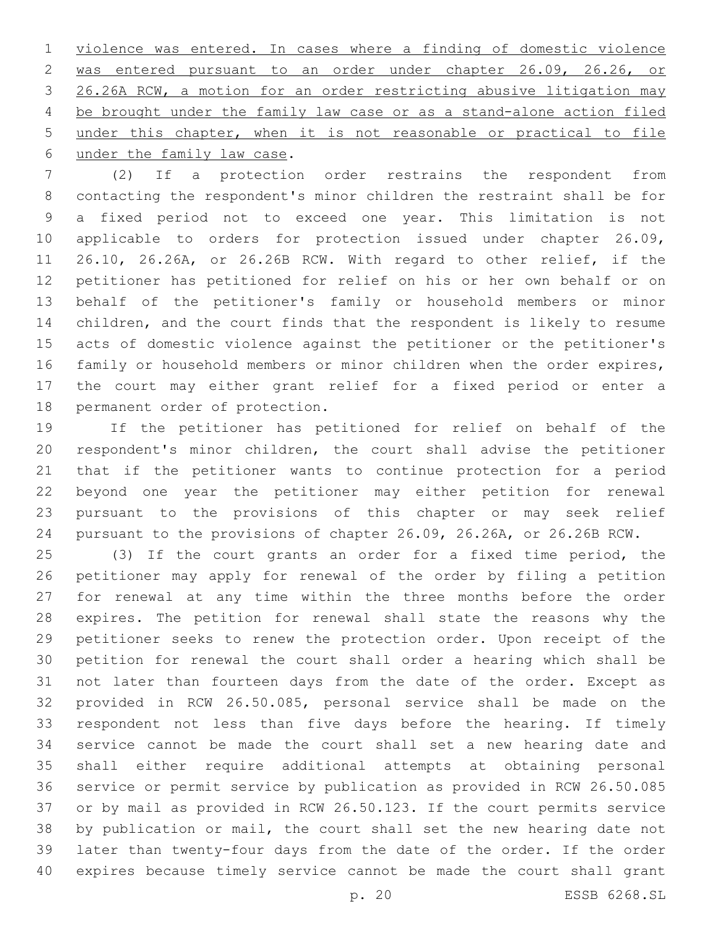violence was entered. In cases where a finding of domestic violence was entered pursuant to an order under chapter 26.09, 26.26, or 26.26A RCW, a motion for an order restricting abusive litigation may be brought under the family law case or as a stand-alone action filed under this chapter, when it is not reasonable or practical to file 6 under the family law case.

 (2) If a protection order restrains the respondent from contacting the respondent's minor children the restraint shall be for a fixed period not to exceed one year. This limitation is not applicable to orders for protection issued under chapter 26.09, 26.10, 26.26A, or 26.26B RCW. With regard to other relief, if the petitioner has petitioned for relief on his or her own behalf or on behalf of the petitioner's family or household members or minor children, and the court finds that the respondent is likely to resume acts of domestic violence against the petitioner or the petitioner's family or household members or minor children when the order expires, the court may either grant relief for a fixed period or enter a 18 permanent order of protection.

 If the petitioner has petitioned for relief on behalf of the respondent's minor children, the court shall advise the petitioner that if the petitioner wants to continue protection for a period beyond one year the petitioner may either petition for renewal pursuant to the provisions of this chapter or may seek relief pursuant to the provisions of chapter 26.09, 26.26A, or 26.26B RCW.

 (3) If the court grants an order for a fixed time period, the petitioner may apply for renewal of the order by filing a petition for renewal at any time within the three months before the order expires. The petition for renewal shall state the reasons why the petitioner seeks to renew the protection order. Upon receipt of the petition for renewal the court shall order a hearing which shall be not later than fourteen days from the date of the order. Except as provided in RCW 26.50.085, personal service shall be made on the respondent not less than five days before the hearing. If timely service cannot be made the court shall set a new hearing date and shall either require additional attempts at obtaining personal service or permit service by publication as provided in RCW 26.50.085 or by mail as provided in RCW 26.50.123. If the court permits service by publication or mail, the court shall set the new hearing date not later than twenty-four days from the date of the order. If the order expires because timely service cannot be made the court shall grant

p. 20 ESSB 6268.SL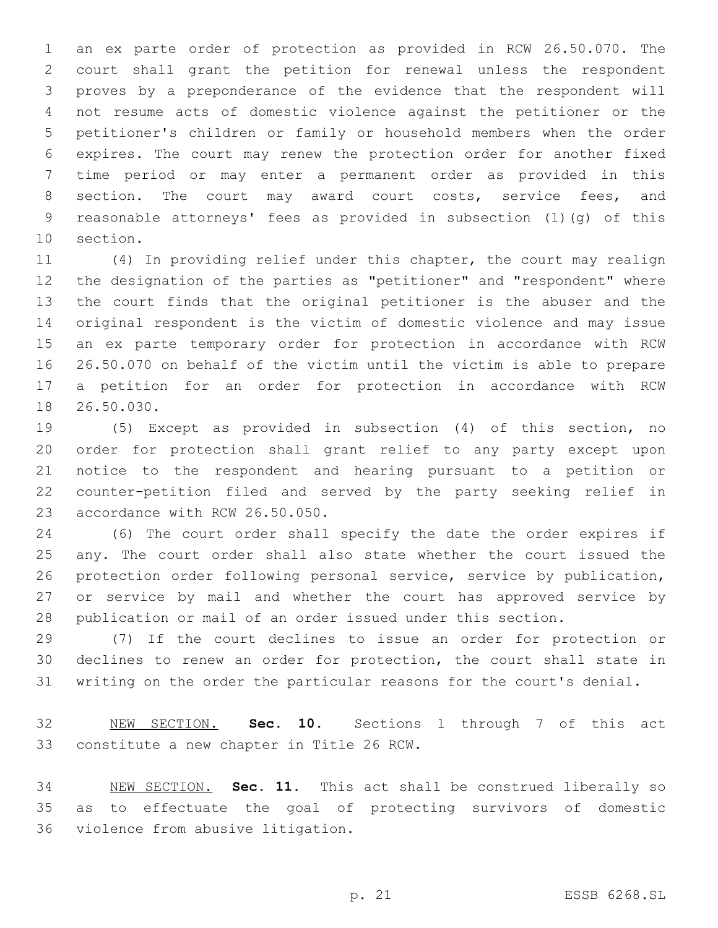an ex parte order of protection as provided in RCW 26.50.070. The court shall grant the petition for renewal unless the respondent proves by a preponderance of the evidence that the respondent will not resume acts of domestic violence against the petitioner or the petitioner's children or family or household members when the order expires. The court may renew the protection order for another fixed time period or may enter a permanent order as provided in this 8 section. The court may award court costs, service fees, and reasonable attorneys' fees as provided in subsection (1)(g) of this 10 section.

 (4) In providing relief under this chapter, the court may realign the designation of the parties as "petitioner" and "respondent" where the court finds that the original petitioner is the abuser and the original respondent is the victim of domestic violence and may issue an ex parte temporary order for protection in accordance with RCW 26.50.070 on behalf of the victim until the victim is able to prepare a petition for an order for protection in accordance with RCW 18 26.50.030.

 (5) Except as provided in subsection (4) of this section, no order for protection shall grant relief to any party except upon notice to the respondent and hearing pursuant to a petition or counter-petition filed and served by the party seeking relief in 23 accordance with RCW 26.50.050.

 (6) The court order shall specify the date the order expires if any. The court order shall also state whether the court issued the protection order following personal service, service by publication, or service by mail and whether the court has approved service by publication or mail of an order issued under this section.

 (7) If the court declines to issue an order for protection or declines to renew an order for protection, the court shall state in writing on the order the particular reasons for the court's denial.

 NEW SECTION. **Sec. 10.** Sections 1 through 7 of this act constitute a new chapter in Title 26 RCW.

 NEW SECTION. **Sec. 11.** This act shall be construed liberally so as to effectuate the goal of protecting survivors of domestic violence from abusive litigation.